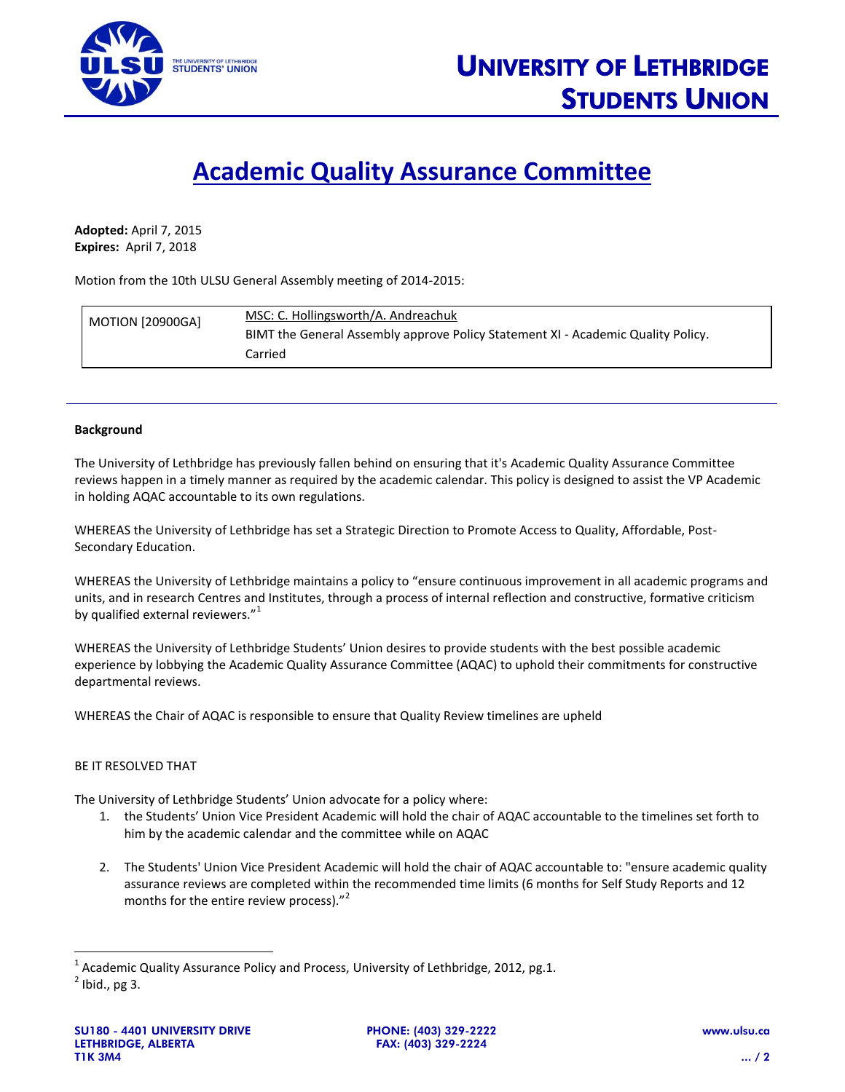

## **Academic Quality Assurance Committee**

**Adopted:** April 7, 2015 **Expires:** April 7, 2018

Motion from the 10th ULSU General Assembly meeting of 2014-2015:

| <b>MOTION [20900GA]</b> | MSC: C. Hollingsworth/A. Andreachuk                                              |
|-------------------------|----------------------------------------------------------------------------------|
|                         | BIMT the General Assembly approve Policy Statement XI - Academic Quality Policy. |
|                         | Carried                                                                          |

## **Background**

The University of Lethbridge has previously fallen behind on ensuring that it's Academic Quality Assurance Committee reviews happen in a timely manner as required by the academic calendar. This policy is designed to assist the VP Academic in holding AQAC accountable to its own regulations.

WHEREAS the University of Lethbridge has set a Strategic Direction to Promote Access to Quality, Affordable, Post-Secondary Education.

WHEREAS the University of Lethbridge maintains a policy to "ensure continuous improvement in all academic programs and units, and in research Centres and Institutes, through a process of internal reflection and constructive, formative criticism by qualified external reviewers."<sup>1</sup>

WHEREAS the University of Lethbridge Students' Union desires to provide students with the best possible academic experience by lobbying the Academic Quality Assurance Committee (AQAC) to uphold their commitments for constructive departmental reviews.

WHEREAS the Chair of AQAC is responsible to ensure that Quality Review timelines are upheld

## BE IT RESOLVED THAT

The University of Lethbridge Students' Union advocate for a policy where:

- 1. the Students' Union Vice President Academic will hold the chair of AQAC accountable to the timelines set forth to him by the academic calendar and the committee while on AQAC
- 2. The Students' Union Vice President Academic will hold the chair of AQAC accountable to: "ensure academic quality assurance reviews are completed within the recommended time limits (6 months for Self Study Reports and 12 months for the entire review process)."<sup>2</sup>

l

<sup>&</sup>lt;sup>1</sup> Academic Quality Assurance Policy and Process, University of Lethbridge, 2012, pg.1.

 $^2$  Ibid., pg 3.